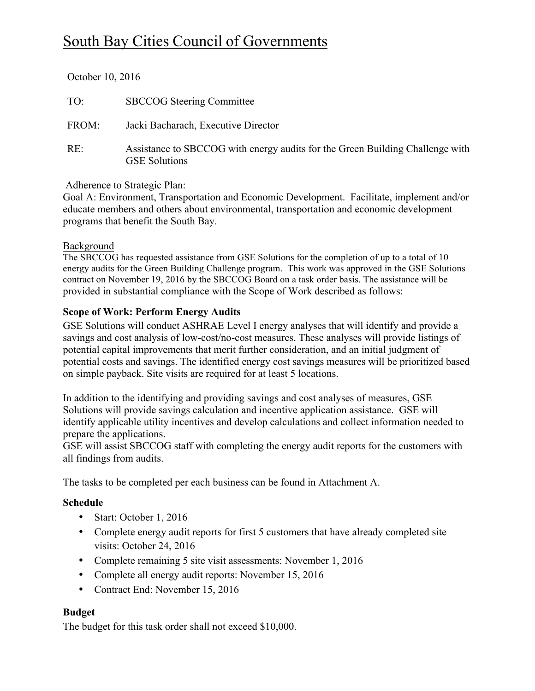# South Bay Cities Council of Governments

| October 10, 2016 |                                                                                                       |
|------------------|-------------------------------------------------------------------------------------------------------|
| TO:              | <b>SBCCOG</b> Steering Committee                                                                      |
| FROM:            | Jacki Bacharach, Executive Director                                                                   |
| RE:              | Assistance to SBCCOG with energy audits for the Green Building Challenge with<br><b>GSE Solutions</b> |

#### Adherence to Strategic Plan:

Goal A: Environment, Transportation and Economic Development. Facilitate, implement and/or educate members and others about environmental, transportation and economic development programs that benefit the South Bay.

#### **Background**

The SBCCOG has requested assistance from GSE Solutions for the completion of up to a total of 10 energy audits for the Green Building Challenge program. This work was approved in the GSE Solutions contract on November 19, 2016 by the SBCCOG Board on a task order basis. The assistance will be provided in substantial compliance with the Scope of Work described as follows:

## **Scope of Work: Perform Energy Audits**

GSE Solutions will conduct ASHRAE Level I energy analyses that will identify and provide a savings and cost analysis of low-cost/no-cost measures. These analyses will provide listings of potential capital improvements that merit further consideration, and an initial judgment of potential costs and savings. The identified energy cost savings measures will be prioritized based on simple payback. Site visits are required for at least 5 locations.

In addition to the identifying and providing savings and cost analyses of measures, GSE Solutions will provide savings calculation and incentive application assistance. GSE will identify applicable utility incentives and develop calculations and collect information needed to prepare the applications.

GSE will assist SBCCOG staff with completing the energy audit reports for the customers with all findings from audits.

The tasks to be completed per each business can be found in Attachment A.

## **Schedule**

- Start: October 1, 2016
- Complete energy audit reports for first 5 customers that have already completed site visits: October 24, 2016
- Complete remaining 5 site visit assessments: November 1, 2016
- Complete all energy audit reports: November 15, 2016
- Contract End: November 15, 2016

## **Budget**

The budget for this task order shall not exceed \$10,000.